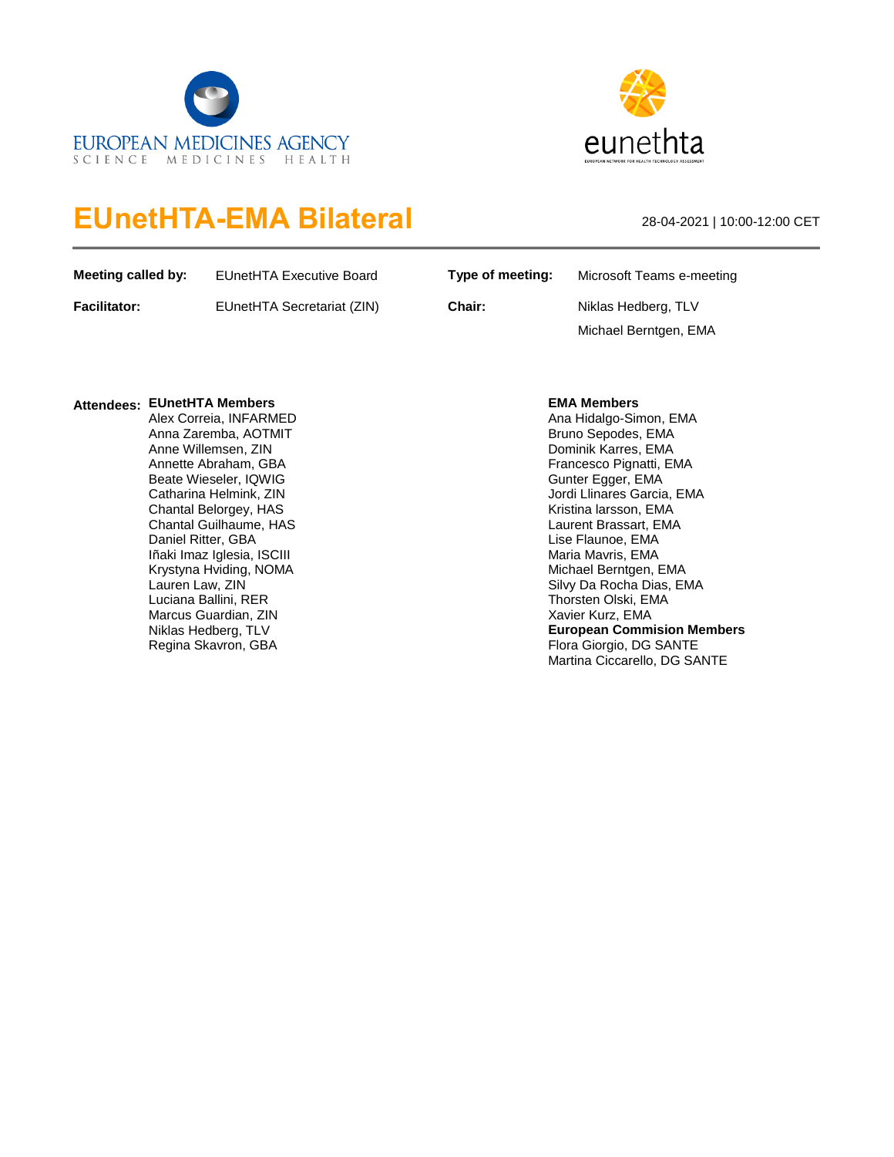



# **EUnetHTA-EMA Bilateral** 28-04-2021 | 10:00-12:00 CET

| Meeting called by:  | EUnetHTA Executive Board   | Type of meeting: | Microsoft Teams e-meeting |
|---------------------|----------------------------|------------------|---------------------------|
| <b>Facilitator:</b> | EUnetHTA Secretariat (ZIN) | Chair:           | Niklas Hedberg, TLV       |
|                     |                            |                  | Michael Berntgen, EMA     |

## **Attendees: EUnetHTA Members** Alex Correia, INFARMED

Anna Zaremba, AOTMIT Anne Willemsen, ZIN Annette Abraham, GBA Beate Wieseler, IQWIG Catharina Helmink, ZIN Chantal Belorgey, HAS Chantal Guilhaume, HAS Daniel Ritter, GBA Iñaki Imaz Iglesia, ISCIII Krystyna Hviding, NOMA Lauren Law, ZIN Luciana Ballini, RER Marcus Guardian, ZIN Niklas Hedberg, TLV Regina Skavron, GBA

### **EMA Members**

Ana Hidalgo-Simon, EMA Bruno Sepodes, EMA Dominik Karres, EMA Francesco Pignatti, EMA Gunter Egger, EMA Jordi Llinares Garcia, EMA Kristina larsson, EMA Laurent Brassart, EMA Lise Flaunoe, EMA Maria Mavris, EMA Michael Berntgen, EMA Silvy Da Rocha Dias, EMA Thorsten Olski, EMA Xavier Kurz, EMA **European Commision Members** Flora Giorgio, DG SANTE Martina Ciccarello, DG SANTE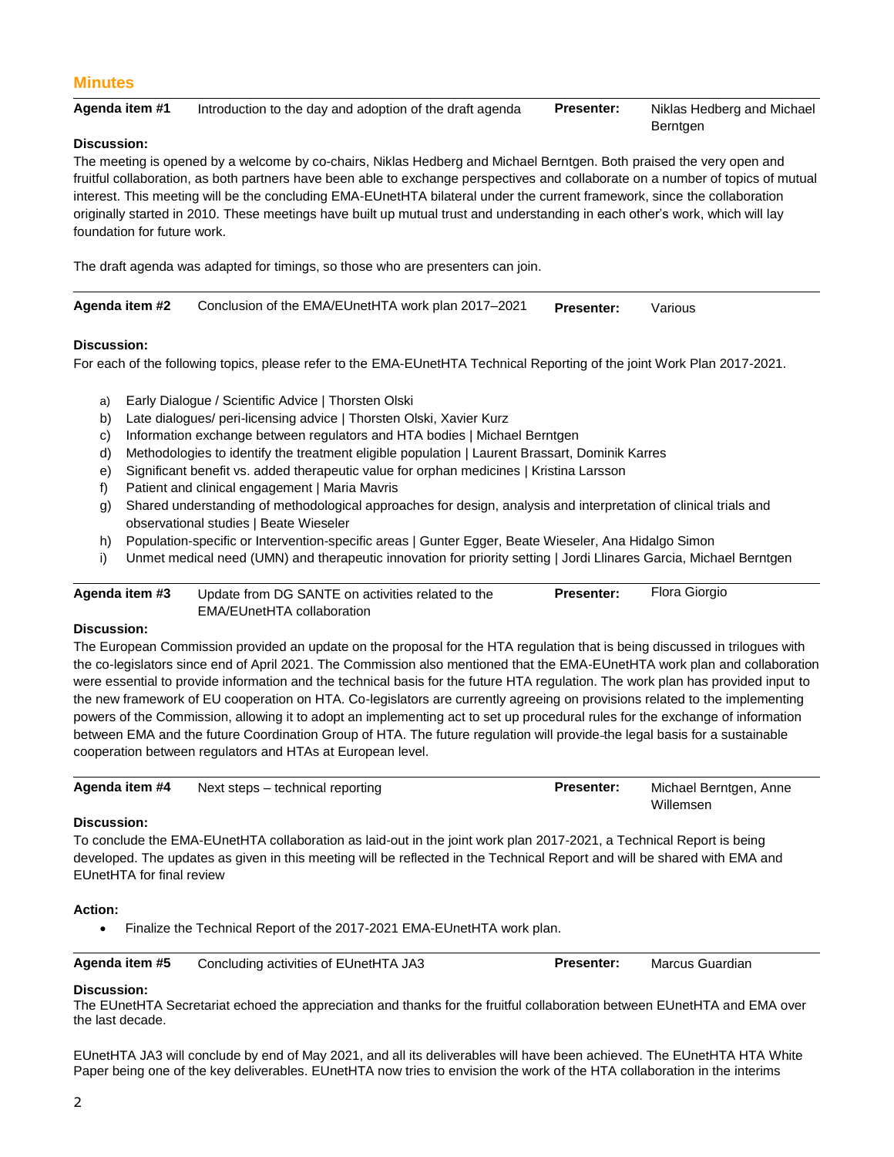## **Minutes**

| Agenda item #1 | Introduction to the day and adoption of the draft agenda | <b>Presenter:</b> | Niklas Hedberg and Michael |
|----------------|----------------------------------------------------------|-------------------|----------------------------|
|                |                                                          |                   | <b>Berntgen</b>            |

#### **Discussion:**

The meeting is opened by a welcome by co-chairs, Niklas Hedberg and Michael Berntgen. Both praised the very open and fruitful collaboration, as both partners have been able to exchange perspectives and collaborate on a number of topics of mutual interest. This meeting will be the concluding EMA-EUnetHTA bilateral under the current framework, since the collaboration originally started in 2010. These meetings have built up mutual trust and understanding in each other's work, which will lay foundation for future work.

The draft agenda was adapted for timings, so those who are presenters can join.

| Agenda item #2 | Conclusion of the EMA/EUnetHTA work plan 2017–2021 | <b>Presenter:</b> | Various |
|----------------|----------------------------------------------------|-------------------|---------|
|----------------|----------------------------------------------------|-------------------|---------|

#### **Discussion:**

For each of the following topics, please refer to the EMA-EUnetHTA Technical Reporting of the joint Work Plan 2017-2021.

- a) Early Dialogue / Scientific Advice | Thorsten Olski
- b) Late dialogues/ peri-licensing advice | Thorsten Olski, Xavier Kurz
- c) Information exchange between regulators and HTA bodies | Michael Berntgen
- d) Methodologies to identify the treatment eligible population | Laurent Brassart, Dominik Karres
- e) Significant benefit vs. added therapeutic value for orphan medicines | Kristina Larsson
- f) Patient and clinical engagement | Maria Mavris
- g) Shared understanding of methodological approaches for design, analysis and interpretation of clinical trials and observational studies | Beate Wieseler
- h) Population-specific or Intervention-specific areas | Gunter Egger, Beate Wieseler, Ana Hidalgo Simon
- i) Unmet medical need (UMN) and therapeutic innovation for priority setting | Jordi Llinares Garcia, Michael Berntgen

**Agenda item #3** Update from DG SANTE on activities related to the EMA/EUnetHTA collaboration **Presenter:** Flora Giorgio

#### **Discussion:**

The European Commission provided an update on the proposal for the HTA regulation that is being discussed in trilogues with the co-legislators since end of April 2021. The Commission also mentioned that the EMA-EUnetHTA work plan and collaboration were essential to provide information and the technical basis for the future HTA regulation. The work plan has provided input to the new framework of EU cooperation on HTA. Co-legislators are currently agreeing on provisions related to the implementing powers of the Commission, allowing it to adopt an implementing act to set up procedural rules for the exchange of information between EMA and the future Coordination Group of HTA. The future regulation will provide the legal basis for a sustainable cooperation between regulators and HTAs at European level.

| Agenda item #4 | Next steps – technical reporting | <b>Presenter:</b> | Michael Berntgen, Anne |
|----------------|----------------------------------|-------------------|------------------------|
|                |                                  |                   | Willemsen              |

#### **Discussion:**

To conclude the EMA-EUnetHTA collaboration as laid-out in the joint work plan 2017-2021, a Technical Report is being developed. The updates as given in this meeting will be reflected in the Technical Report and will be shared with EMA and EUnetHTA for final review

#### **Action:**

Finalize the Technical Report of the 2017-2021 EMA-EUnetHTA work plan.

| Agenda item #5 | Concluding activities of EUnetHTA JA3 | <b>Presenter:</b> | Marcus Guardian |  |
|----------------|---------------------------------------|-------------------|-----------------|--|
|----------------|---------------------------------------|-------------------|-----------------|--|

#### **Discussion:**

The EUnetHTA Secretariat echoed the appreciation and thanks for the fruitful collaboration between EUnetHTA and EMA over the last decade.

EUnetHTA JA3 will conclude by end of May 2021, and all its deliverables will have been achieved. The EUnetHTA HTA White Paper being one of the key deliverables. EUnetHTA now tries to envision the work of the HTA collaboration in the interims